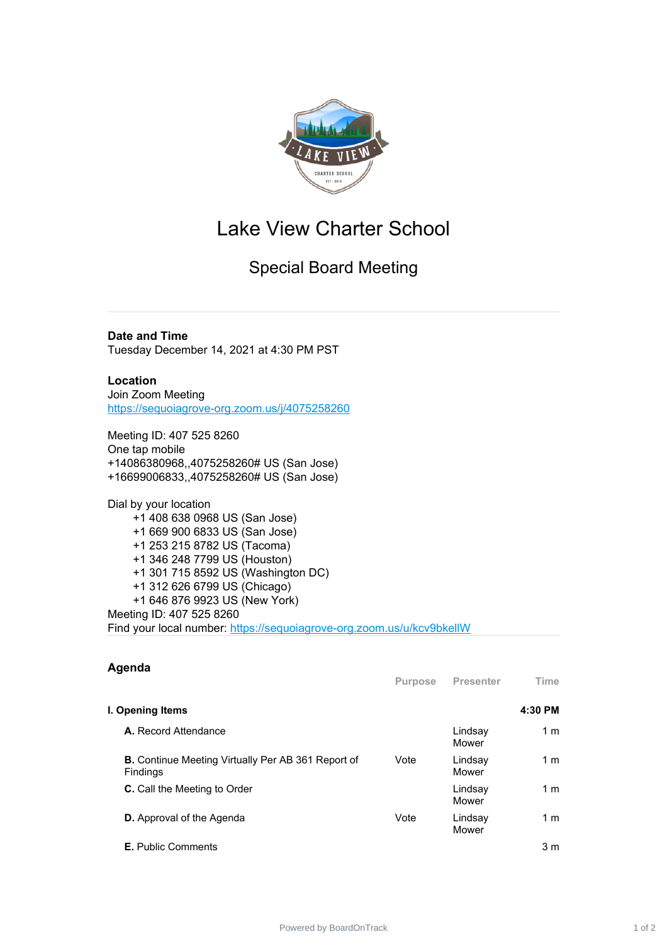

## Lake View Charter School

Special Board Meeting

**Date and Time** Tuesday December 14, 2021 at 4:30 PM PST

**Location** Join Zoom Meeting [https://sequoiagrove-org.zoom.us/j/4075258260](https://www.google.com/url?q=https://sequoiagrove-org.zoom.us/j/4075258260&sa=D&source=calendar&ust=1635092054101858&usg=AOvVaw2R7TmmfkcxJMzI_X4ALB1C)

Meeting ID: 407 525 8260 One tap mobile +14086380968,,4075258260# US (San Jose) +16699006833,,4075258260# US (San Jose)

Dial by your location +1 408 638 0968 US (San Jose) +1 669 900 6833 US (San Jose) +1 253 215 8782 US (Tacoma) +1 346 248 7799 US (Houston) +1 301 715 8592 US (Washington DC) +1 312 626 6799 US (Chicago) +1 646 876 9923 US (New York) Meeting ID: 407 525 8260 Find your local number: [https://sequoiagrove-org.zoom.us/u/kcv9bkellW](https://www.google.com/url?q=https://sequoiagrove-org.zoom.us/u/kcv9bkellW&sa=D&source=calendar&ust=1635092054101858&usg=AOvVaw3NirWxO5fYt1EagoKLbI_V)

| Agenda                                                         | <b>Purpose</b> | Presenter        | Time           |
|----------------------------------------------------------------|----------------|------------------|----------------|
| I. Opening Items                                               |                |                  | 4:30 PM        |
| A. Record Attendance                                           |                | Lindsay<br>Mower | 1 <sub>m</sub> |
| B. Continue Meeting Virtually Per AB 361 Report of<br>Findings | Vote           | Lindsay<br>Mower | 1 <sub>m</sub> |
| <b>C.</b> Call the Meeting to Order                            |                | Lindsay<br>Mower | 1 m            |
| <b>D.</b> Approval of the Agenda                               | Vote           | Lindsay<br>Mower | 1 <sub>m</sub> |
| <b>E.</b> Public Comments                                      |                |                  | 3 <sub>m</sub> |